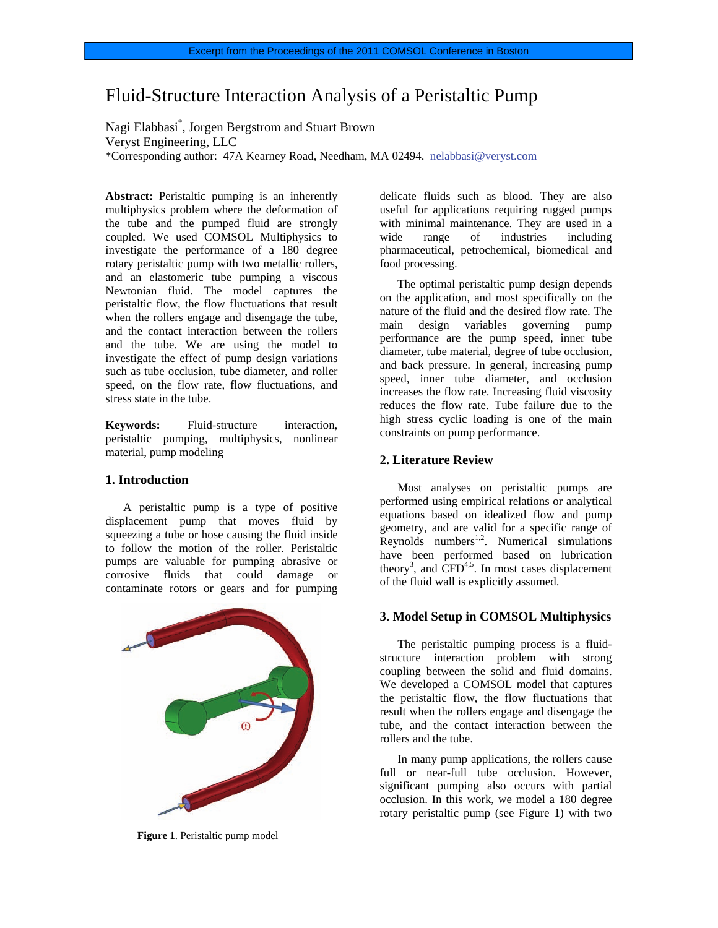# Fluid-Structure Interaction Analysis of a Peristaltic Pump

Nagi Elabbasi\* , Jorgen Bergstrom and Stuart Brown Veryst Engineering, LLC \*Corresponding author: 47A Kearney Road, Needham, MA 02494. nelabbasi@veryst.com

**Abstract:** Peristaltic pumping is an inherently multiphysics problem where the deformation of the tube and the pumped fluid are strongly coupled. We used COMSOL Multiphysics to investigate the performance of a 180 degree rotary peristaltic pump with two metallic rollers, and an elastomeric tube pumping a viscous Newtonian fluid. The model captures the peristaltic flow, the flow fluctuations that result when the rollers engage and disengage the tube, and the contact interaction between the rollers and the tube. We are using the model to investigate the effect of pump design variations such as tube occlusion, tube diameter, and roller speed, on the flow rate, flow fluctuations, and stress state in the tube.

**Keywords:** Fluid-structure interaction, peristaltic pumping, multiphysics, nonlinear material, pump modeling

## **1. Introduction**

A peristaltic pump is a type of positive displacement pump that moves fluid by squeezing a tube or hose causing the fluid inside to follow the motion of the roller. Peristaltic pumps are valuable for pumping abrasive or corrosive fluids that could damage or contaminate rotors or gears and for pumping



**Figure 1**. Peristaltic pump model

delicate fluids such as blood. They are also useful for applications requiring rugged pumps with minimal maintenance. They are used in a wide range of industries including pharmaceutical, petrochemical, biomedical and food processing.

The optimal peristaltic pump design depends on the application, and most specifically on the nature of the fluid and the desired flow rate. The main design variables governing pump performance are the pump speed, inner tube diameter, tube material, degree of tube occlusion, and back pressure. In general, increasing pump speed, inner tube diameter, and occlusion increases the flow rate. Increasing fluid viscosity reduces the flow rate. Tube failure due to the high stress cyclic loading is one of the main constraints on pump performance.

#### **2. Literature Review**

Most analyses on peristaltic pumps are performed using empirical relations or analytical equations based on idealized flow and pump geometry, and are valid for a specific range of  $Reynolds$  numbers<sup>1,2</sup>. Numerical simulations have been performed based on lubrication theory<sup>3</sup>, and  $\overline{CFD}^{4,5}$ . In most cases displacement of the fluid wall is explicitly assumed.

# **3. Model Setup in COMSOL Multiphysics**

The peristaltic pumping process is a fluidstructure interaction problem with strong coupling between the solid and fluid domains. We developed a COMSOL model that captures the peristaltic flow, the flow fluctuations that result when the rollers engage and disengage the tube, and the contact interaction between the rollers and the tube.

In many pump applications, the rollers cause full or near-full tube occlusion. However, significant pumping also occurs with partial occlusion. In this work, we model a 180 degree rotary peristaltic pump (see Figure 1) with two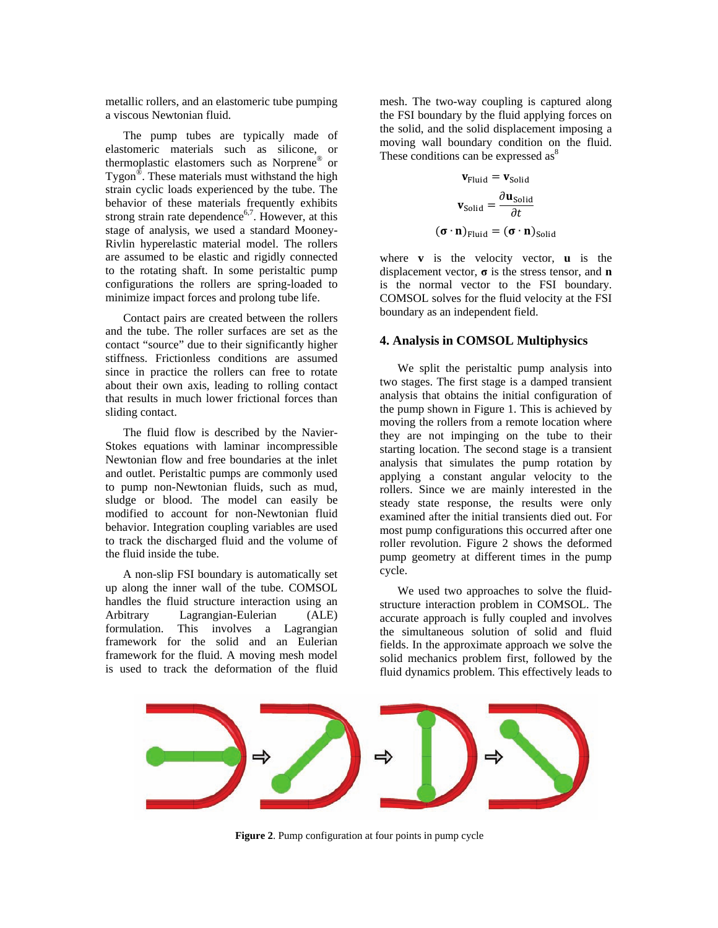metallic rollers, and an elastomeric tube pumping a viscous Newtonian fluid.

The pump tubes are typically made of elastomeric materials such as silicone, or thermoplastic elastomers such as Norprene® or Tygon®. These materials must withstand the high strain cyclic loads experienced by the tube. The behavior of these materials frequently exhibits strong strain rate dependence<sup>6,7</sup>. However, at this stage of analysis, we used a standard Mooney-Rivlin hyperelastic material model. The rollers are assumed to be elastic and rigidly connected to the rotating shaft. In some peristaltic pump configurations the rollers are spring-loaded to minimize impact forces and prolong tube life.

Contact pairs are created between the rollers and the tube. The roller surfaces are set as the contact "source" due to their significantly higher stiffness. Frictionless conditions are assumed since in practice the rollers can free to rotate about their own axis, leading to rolling contact that results in much lower frictional forces than sliding contact.

The fluid flow is described by the Navier-Stokes equations with laminar incompressible Newtonian flow and free boundaries at the inlet and outlet. Peristaltic pumps are commonly used to pump non-Newtonian fluids, such as mud, sludge or blood. The model can easily be modified to account for non-Newtonian fluid behavior. Integration coupling variables are used to track the discharged fluid and the volume of the fluid inside the tube.

A non-slip FSI boundary is automatically set up along the inner wall of the tube. COMSOL handles the fluid structure interaction using an Arbitrary Lagrangian-Eulerian (ALE) formulation. This involves a Lagrangian framework for the solid and an Eulerian framework for the fluid. A moving mesh model is used to track the deformation of the fluid

mesh. The two-way coupling is captured along the FSI boundary by the fluid applying forces on the solid, and the solid displacement imposing a moving wall boundary condition on the fluid. These conditions can be expressed as<sup>8</sup>

$$
\mathbf{v}_{\text{Fluid}} = \mathbf{v}_{\text{solid}}
$$
\n
$$
\mathbf{v}_{\text{solid}} = \frac{\partial \mathbf{u}_{\text{solid}}}{\partial t}
$$
\n
$$
(\mathbf{\sigma} \cdot \mathbf{n})_{\text{Fluid}} = (\mathbf{\sigma} \cdot \mathbf{n})_{\text{solid}}
$$

where **v** is the velocity vector, **u** is the displacement vector, **σ** is the stress tensor, and **n** is the normal vector to the FSI boundary. COMSOL solves for the fluid velocity at the FSI boundary as an independent field.

# **4. Analysis in COMSOL Multiphysics**

We split the peristaltic pump analysis into two stages. The first stage is a damped transient analysis that obtains the initial configuration of the pump shown in Figure 1. This is achieved by moving the rollers from a remote location where they are not impinging on the tube to their starting location. The second stage is a transient analysis that simulates the pump rotation by applying a constant angular velocity to the rollers. Since we are mainly interested in the steady state response, the results were only examined after the initial transients died out. For most pump configurations this occurred after one roller revolution. Figure 2 shows the deformed pump geometry at different times in the pump cycle.

We used two approaches to solve the fluidstructure interaction problem in COMSOL. The accurate approach is fully coupled and involves the simultaneous solution of solid and fluid fields. In the approximate approach we solve the solid mechanics problem first, followed by the fluid dynamics problem. This effectively leads to



**Figure 2**. Pump configuration at four points in pump cycle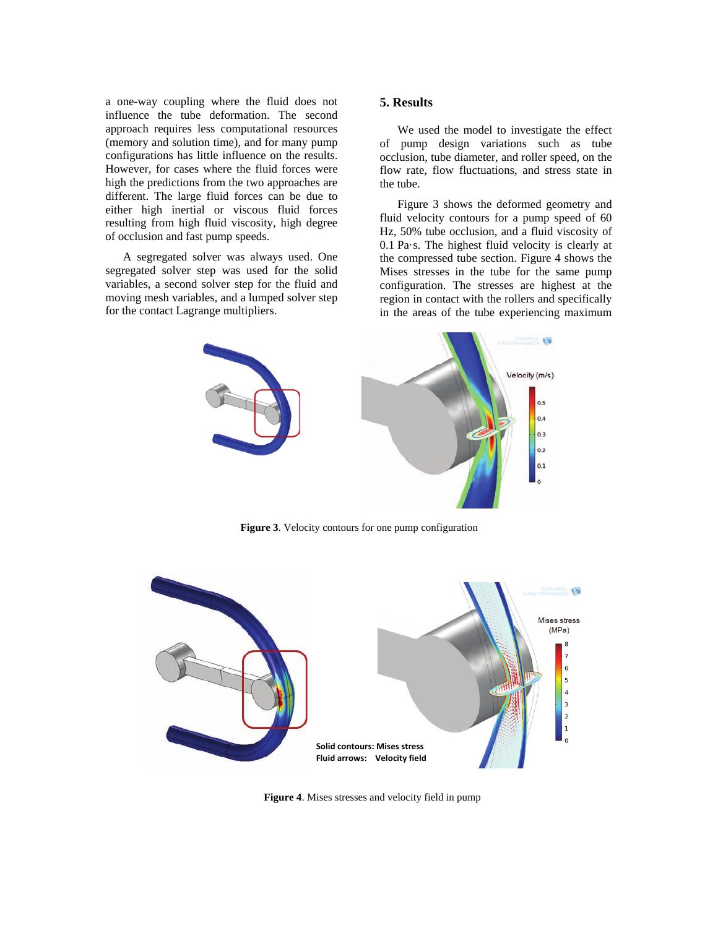a one-way coupling where the fluid does not influence the tube deformation. The second approach requires less computational resources (memory and solution time), and for many pump configurations has little influence on the results. However, for cases where the fluid forces were high the predictions from the two approaches are different. The large fluid forces can be due to either high inertial or viscous fluid forces resulting from high fluid viscosity, high degree of occlusion and fast pump speeds.

A segregated solver was always used. One segregated solver step was used for the solid variables, a second solver step for the fluid and moving mesh variables, and a lumped solver step for the contact Lagrange multipliers.

# **5. Results**

We used the model to investigate the effect of pump design variations such as tube occlusion, tube diameter, and roller speed, on the flow rate, flow fluctuations, and stress state in the tube.

Figure 3 shows the deformed geometry and fluid velocity contours for a pump speed of 60 Hz, 50% tube occlusion, and a fluid viscosity of 0.1 Pa·s. The highest fluid velocity is clearly at the compressed tube section. Figure 4 shows the Mises stresses in the tube for the same pump configuration. The stresses are highest at the region in contact with the rollers and specifically in the areas of the tube experiencing maximum



**Figure 3**. Velocity contours for one pump configuration



**Figure 4**. Mises stresses and velocity field in pump